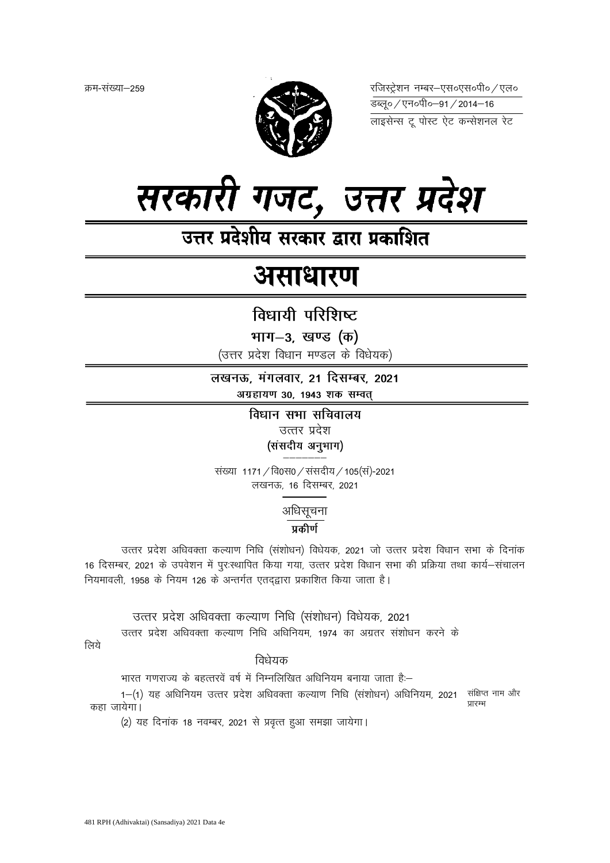क्रम-संख्या–259



रजिस्ट्रेशन नम्बर-एस०एस०पी० / एल० 

लाइसेन्स टू पोस्ट ऐट कन्सेशनल रेट



उत्तर प्रदेशीय सरकार द्वारा प्रकाशित

# असाधारण

## विधायी परिशिष्ट

भाग-3, खण्ड (क)

(उत्तर प्रदेश विधान मण्डल के विधेयक)

लखनऊ, मंगलवार, 21 दिसम्बर, 2021 अग्रहायण 30, 1943 शक सम्वत्

> विधान सभा सचिवालय उत्तर प्रदेश (संसदीय अनुभाग)

संख्या 1171 / वि0स0 / संसदीय / 105(स)-2021 लखनऊ, 16 दिसम्बर, 2021

अधिसूचना

### प्रकीर्ण

उत्तर प्रदेश अधिवक्ता कल्याण निधि (संशोधन) विधेयक, 2021 जो उत्तर प्रदेश विधान सभा के दिनांक 16 दिसम्बर, 2021 के उपवेशन में पुरःस्थापित किया गया, उत्तर प्रदेश विधान सभा की प्रक्रिया तथा कार्य-संचालन नियमावली. 1958 के नियम 126 के अन्तर्गत एतदद्वारा प्रकाशित किया जाता है।

उत्तर प्रदेश अधिवक्ता कल्याण निधि (संशोधन) विधेयक, 2021 उत्तर प्रदेश अधिवक्ता कल्याण निधि अधिनियम, 1974 का अग्रतर संशोधन करने के

लिये

विधेयक

भारत गणराज्य के बहत्तरवें वर्ष में निम्नलिखित अधिनियम बनाया जाता है:--

1-(1) यह अधिनियम उत्तर प्रदेश अधिवक्ता कल्याण निधि (संशोधन) अधिनियम, 2021 संक्षिप्त नाम और ਧਾਰਸ਼ कहा जायेगा।

(2) यह दिनांक 18 नवम्बर, 2021 से प्रवृत्त हुआ समझा जायेगा।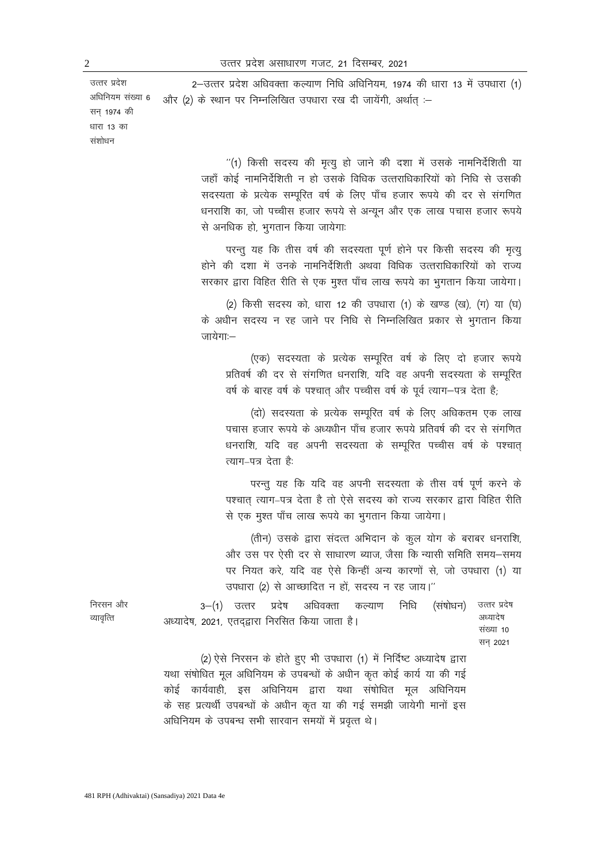2-उत्तर प्रदेश अधिवक्ता कल्याण निधि अधिनियम, 1974 की धारा 13 में उपधारा (1) और (2) के स्थान पर निम्नलिखित उपधारा रख दी जायेंगी, अर्थात् :-

> "(1) किसी सदस्य की मृत्यु हो जाने की दशा में उसके नामनिर्देशिती या जहाँ कोई नामनिर्देशिती न हो उसके विधिक उत्तराधिकारियों को निधि से उसकी सदस्यता के प्रत्येक सम्पूरित वर्ष के लिए पाँच हजार रूपये की दर से संगणित धनराशि का, जो पच्चीस हजार रूपये से अन्यून और एक लाख पचास हजार रूपये से अनधिक हो, भुगतान किया जायेगाः

> परन्तु यह कि तीस वर्ष की सदस्यता पूर्ण होने पर किसी सदस्य की मृत्यु होने की दशा में उनके नामनिर्देशिती अथवा विधिक उत्तराधिकारियों को राज्य सरकार द्वारा विहित रीति से एक मुश्त पाँच लाख रूपये का भुगतान किया जायेगा।

> (2) किसी सदस्य को, धारा 12 की उपधारा (1) के खण्ड (ख), (ग) या (घ) के अधीन सदस्य न रह जाने पर निधि से निम्नलिखित प्रकार से भूगतान किया जायेगाः—

(एक) सदस्यता के प्रत्येक सम्पूरित वर्ष के लिए दो हजार रूपये प्रतिवर्ष की दर से संगणित धनराशि, यदि वह अपनी सदस्यता के सम्पुरित वर्ष के बारह वर्ष के पश्चात् और पच्चीस वर्ष के पूर्व त्याग–पत्र देता है;

(दो) सदस्यता के प्रत्येक सम्पूरित वर्ष के लिए अधिकतम एक लाख पचास हजार रूपये के अध्यधीन पाँच हजार रूपये प्रतिवर्ष की दर से संगणित धनराशि, यदि वह अपनी सदस्यता के सम्परित पच्चीस वर्ष के पश्चात त्याग–पत्र देता है:

परन्तु यह कि यदि वह अपनी सदस्यता के तीस वर्ष पूर्ण करने के पश्चात त्याग–पत्र देता है तो ऐसे सदस्य को राज्य सरकार द्वारा विहित रीति से एक मुश्त पाँच लाख रूपये का भुगतान किया जायेगा।

(तीन) उसके द्वारा संदत्त अभिदान के कूल योग के बराबर धनराशि, और उस पर ऐसी दर से साधारण ब्याज, जैसा कि न्यासी समिति समय—समय पर नियत करे. यदि वह ऐसे किन्हीं अन्य कारणों से. जो उपधारा (1) या उपधारा (2) से आच्छादित न हों, सदस्य न रह जाय।"

| निरसन और  |  |  | 3–(1) उत्तर प्रदेष अधिवक्ता कल्याण निधि (संषोधन) उत्तरं प्रदेष        |  |           |
|-----------|--|--|-----------------------------------------------------------------------|--|-----------|
| व्यावत्ति |  |  | अध्यादेष, 2021, एतदद्वारा निरसित किया जाता है।                        |  | अध्यादेष  |
|           |  |  |                                                                       |  | संख्या 10 |
|           |  |  |                                                                       |  | सन 2021   |
|           |  |  | (2) ऐसे निरसन के होते हुए भी उपधारा (1) में निर्दिष्ट अध्यादेष द्वारा |  |           |

। ९४ यथा संषोधित मूल अधिनियम के उपबन्धों के अधीन कृत कोई कार्य या की गई कोई कार्यवाही, इस अधिनियम द्वारा यथा संषोधित मूल अधिनियम के सह प्रत्यर्थी उपबन्धों के अधीन कृत या की गई समझी जायेगी मानों इस अधिनियम के उपबन्ध सभी सारवान समयों में प्रवृत्त थे।

उत्तर प्रदेश अधिनियम संख्या 6

सन् 1974 की धारा 13 का संशोधन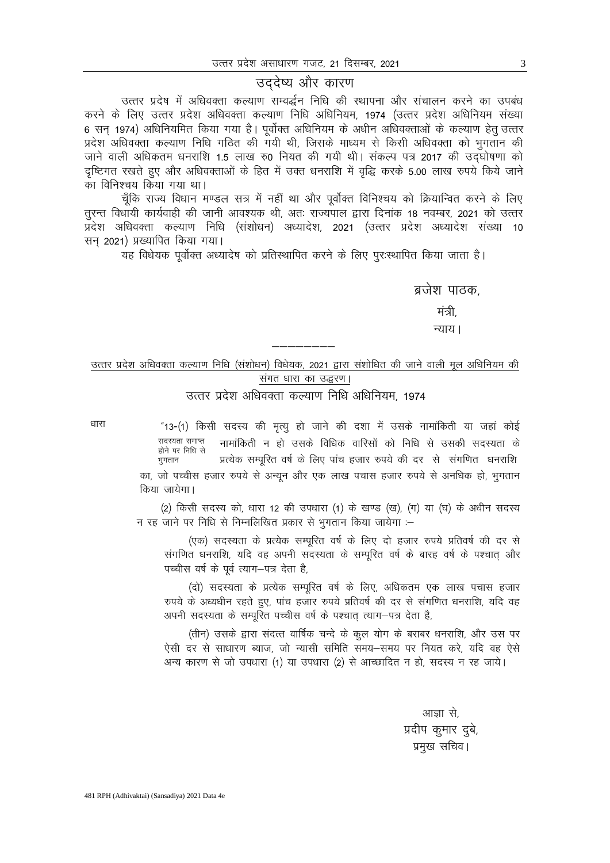#### उददेष्य और कारण

उत्तर प्रदेष में अधिवक्ता कल्याण सम्वर्द्धन निधि की स्थापना और संचालन करने का उपबंध करने के लिए उत्तर प्रदेश अधिवक्ता कल्याण निधि अधिनियम, 1974 (उत्तर प्रदेश अधिनियम संख्या 6 सन् 1974) अधिनियमित किया गया है। पूर्वोक्त अधिनियम के अधीन अधिवक्ताओं के कल्याण हेतू उत्तर प्रदेश अधिवक्ता कल्याण निधि गठित की गयी थी. जिसके माध्यम से किसी अधिवक्ता को भगतान की जाने वाली अधिकतम धनराशि 1.5 लाख रु0 नियत की गयी थी। संकल्प पत्र 2017 की उदघोषणा को दृष्टिगत रखते हुए और अधिवक्ताओं के हित में उक्त धनराशि में वृद्धि करके 5.00 लाख रुपये किये जाने का विनिश्चय किया गया था।

चूँकि राज्य विधान मण्डल सत्र में नहीं था और पूर्वोक्त विनिश्चय को क्रियान्वित करने के लिए तूरन्त विधायी कार्यवाही की जानी आवश्यक थी, अतः राज्यपाल द्वारा दिनांक 18 नवम्बर, 2021 को उत्तर प्रदेश अधिवक्ता कल्याण निधि (संशोधन) अध्यादेश, 2021 (उत्तर प्रदेश अध्यादेश संख्या 10 सन 2021) प्रख्यापित किया गया।

यह विधेयक पूर्वोक्त अध्यादेष को प्रतिस्थापित करने के लिए पुरःस्थापित किया जाता है।

ब्रजेश पाठक. मंत्री न्याय।

### उत्तर प्रदेश अधिवक्ता कल्याण निधि (संशोधन) विधेयक, 2021 द्वारा संशोधित की जाने वाली मूल अधिनियम की संगत धारा का उद्धरण।

उत्तर प्रदेश अधिवक्ता कल्याण निधि अधिनियम, 1974

धारा

"13-(1) किसी सदस्य की मृत्यु हो जाने की दशा में उसके नामांकिती या जहां कोई सदस्यता समाप्त नामांकिती न हो उसके विधिक वारिसों को निधि से उसकी सदस्यता के होने पर निधि से प्रत्येक सम्पूरित वर्ष के लिए पांच हजार रुपये की दर से संगणित धनराशि भूगतान का, जो पच्चीस हजार रुपये से अन्यून और एक लाख पचास हजार रुपये से अनधिक हो, भुगतान किया जायेगा।

(2) किसी सदस्य को, धारा 12 की उपधारा (1) के खण्ड (ख), (ग) या (घ) के अधीन सदस्य न रह जाने पर निधि से निम्नलिखित प्रकार से भुगतान किया जायेगा :-

(एक) सदस्यता के प्रत्येक सम्पूरित वर्ष के लिए दो हजार रुपये प्रतिवर्ष की दर से संगणित धनराशि, यदि वह अपनी सदस्यता के सम्पूरित वर्ष के बारह वर्ष के पश्चात् और पच्चीस वर्ष के पूर्व त्याग-पत्र देता है,

(दो) सदस्यता के प्रत्येक सम्पूरित वर्ष के लिए, अधिकतम एक लाख पचास हजार रुपये के अध्यधीन रहते हुए, पांच हजार रुपये प्रतिवर्ष की दर से संगणित धनराशि, यदि वह अपनी सदस्यता के सम्पूरित पच्चीस वर्ष के पश्चात् त्याग—पत्र देता है,

(तीन) उसके द्वारा संदत्त वार्षिक चन्दे के कूल योग के बराबर धनराशि, और उस पर ऐसी दर से साधारण ब्याज, जो न्यासी समिति समय—समय पर नियत करे, यदि वह ऐसे अन्य कारण से जो उपधारा (1) या उपधारा (2) से आच्छादित न हो, सदस्य न रह जाये।

> आज्ञा से. प्रदीप कुमार दुबे, प्रमुख सचिव।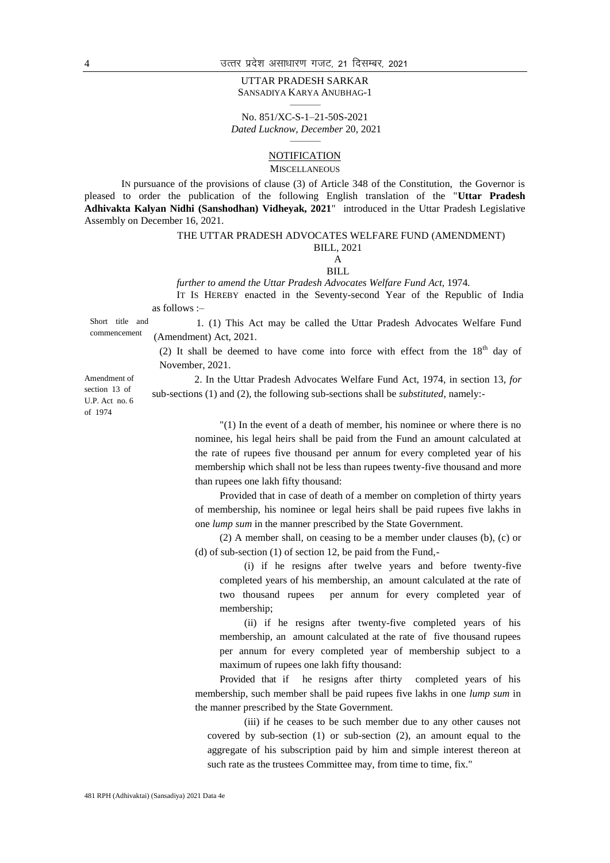#### UTTAR PRADESH SARKAR SANSADIYA KARYA ANUBHAG-1 ———

No. 851/XC-S-1–21-50S-2021 *Dated Lucknow, December* 20, 2021

#### ——— **NOTIFICATION**

MISCELLANEOUS

IN pursuance of the provisions of clause (3) of Article 348 of the Constitution, the Governor is pleased to order the publication of the following English translation of the "**Uttar Pradesh Adhivakta Kalyan Nidhi (Sanshodhan) Vidheyak, 2021**" introduced in the Uttar Pradesh Legislative Assembly on December 16, 2021.

#### THE UTTAR PRADESH ADVOCATES WELFARE FUND (AMENDMENT) BILL, 2021

#### A BILL

*further to amend the Uttar Pradesh Advocates Welfare Fund Act,* 1974*.*

IT IS HEREBY enacted in the Seventy-second Year of the Republic of India as follows :–

Short title and commencement

1. (1) This Act may be called the Uttar Pradesh Advocates Welfare Fund (Amendment) Act, 2021.

(2) It shall be deemed to have come into force with effect from the  $18<sup>th</sup>$  day of November, 2021.

Amendment of section 13 of U.P. Act no. 6 of 1974

2. In the Uttar Pradesh Advocates Welfare Fund Act, 1974, in section 13, *for* sub-sections (1) and (2), the following sub-sections shall be *substituted*, namely:-

> "(1) In the event of a death of member, his nominee or where there is no nominee, his legal heirs shall be paid from the Fund an amount calculated at the rate of rupees five thousand per annum for every completed year of his membership which shall not be less than rupees twenty-five thousand and more than rupees one lakh fifty thousand:

> Provided that in case of death of a member on completion of thirty years of membership, his nominee or legal heirs shall be paid rupees five lakhs in one *lump sum* in the manner prescribed by the State Government.

> (2) A member shall, on ceasing to be a member under clauses (b), (c) or (d) of sub-section (1) of section 12, be paid from the Fund,-

(i) if he resigns after twelve years and before twenty-five completed years of his membership, an amount calculated at the rate of two thousand rupees per annum for every completed year of membership;

(ii) if he resigns after twenty-five completed years of his membership, an amount calculated at the rate of five thousand rupees per annum for every completed year of membership subject to a maximum of rupees one lakh fifty thousand:

Provided that if he resigns after thirty completed years of his membership, such member shall be paid rupees five lakhs in one *lump sum* in the manner prescribed by the State Government.

(iii) if he ceases to be such member due to any other causes not covered by sub-section (1) or sub-section (2), an amount equal to the aggregate of his subscription paid by him and simple interest thereon at such rate as the trustees Committee may, from time to time, fix."